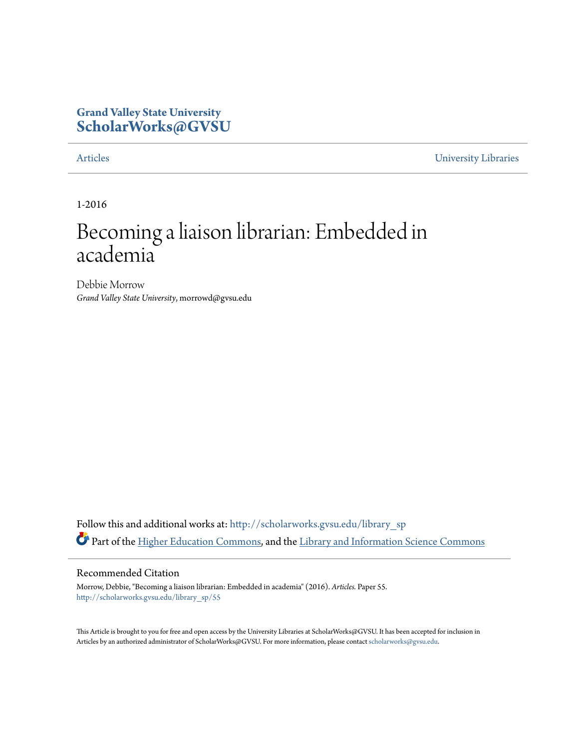## **Grand Valley State University [ScholarWorks@GVSU](http://scholarworks.gvsu.edu?utm_source=scholarworks.gvsu.edu%2Flibrary_sp%2F55&utm_medium=PDF&utm_campaign=PDFCoverPages)**

[Articles](http://scholarworks.gvsu.edu/library_sp?utm_source=scholarworks.gvsu.edu%2Flibrary_sp%2F55&utm_medium=PDF&utm_campaign=PDFCoverPages) [University Libraries](http://scholarworks.gvsu.edu/library?utm_source=scholarworks.gvsu.edu%2Flibrary_sp%2F55&utm_medium=PDF&utm_campaign=PDFCoverPages)

1-2016

# Becoming a liaison librarian: Embedded in academia

Debbie Morrow *Grand Valley State University*, morrowd@gvsu.edu

Follow this and additional works at: [http://scholarworks.gvsu.edu/library\\_sp](http://scholarworks.gvsu.edu/library_sp?utm_source=scholarworks.gvsu.edu%2Flibrary_sp%2F55&utm_medium=PDF&utm_campaign=PDFCoverPages) Part of the [Higher Education Commons](http://network.bepress.com/hgg/discipline/1245?utm_source=scholarworks.gvsu.edu%2Flibrary_sp%2F55&utm_medium=PDF&utm_campaign=PDFCoverPages), and the [Library and Information Science Commons](http://network.bepress.com/hgg/discipline/1018?utm_source=scholarworks.gvsu.edu%2Flibrary_sp%2F55&utm_medium=PDF&utm_campaign=PDFCoverPages)

### Recommended Citation

Morrow, Debbie, "Becoming a liaison librarian: Embedded in academia" (2016). *Articles.* Paper 55. [http://scholarworks.gvsu.edu/library\\_sp/55](http://scholarworks.gvsu.edu/library_sp/55?utm_source=scholarworks.gvsu.edu%2Flibrary_sp%2F55&utm_medium=PDF&utm_campaign=PDFCoverPages)

This Article is brought to you for free and open access by the University Libraries at ScholarWorks@GVSU. It has been accepted for inclusion in Articles by an authorized administrator of ScholarWorks@GVSU. For more information, please contact [scholarworks@gvsu.edu](mailto:scholarworks@gvsu.edu).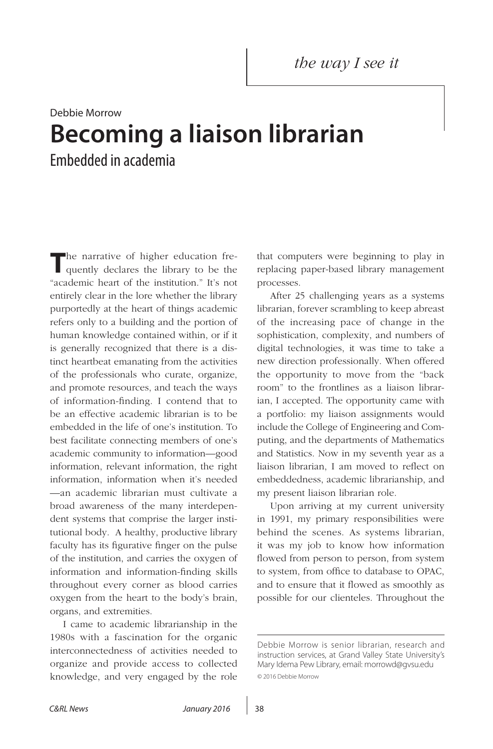# Debbie Morrow **Becoming a liaison librarian** Embedded in academia

**T**he narrative of higher education frequently declares the library to be the "academic heart of the institution." It's not entirely clear in the lore whether the library purportedly at the heart of things academic refers only to a building and the portion of human knowledge contained within, or if it is generally recognized that there is a distinct heartbeat emanating from the activities of the professionals who curate, organize, and promote resources, and teach the ways of information-finding. I contend that to be an effective academic librarian is to be embedded in the life of one's institution. To best facilitate connecting members of one's academic community to information—good information, relevant information, the right information, information when it's needed —an academic librarian must cultivate a broad awareness of the many interdependent systems that comprise the larger institutional body. A healthy, productive library faculty has its figurative finger on the pulse of the institution, and carries the oxygen of information and information-finding skills throughout every corner as blood carries oxygen from the heart to the body's brain, organs, and extremities.

I came to academic librarianship in the 1980s with a fascination for the organic interconnectedness of activities needed to organize and provide access to collected knowledge, and very engaged by the role that computers were beginning to play in replacing paper-based library management processes.

After 25 challenging years as a systems librarian, forever scrambling to keep abreast of the increasing pace of change in the sophistication, complexity, and numbers of digital technologies, it was time to take a new direction professionally. When offered the opportunity to move from the "back room" to the frontlines as a liaison librarian, I accepted. The opportunity came with a portfolio: my liaison assignments would include the College of Engineering and Computing, and the departments of Mathematics and Statistics. Now in my seventh year as a liaison librarian, I am moved to reflect on embeddedness, academic librarianship, and my present liaison librarian role.

Upon arriving at my current university in 1991, my primary responsibilities were behind the scenes. As systems librarian, it was my job to know how information flowed from person to person, from system to system, from office to database to OPAC, and to ensure that it flowed as smoothly as possible for our clienteles. Throughout the

Debbie Morrow is senior librarian, research and instruction services, at Grand Valley State University's Mary Idema Pew Library, email: morrowd@gvsu.edu © 2016 Debbie Morrow